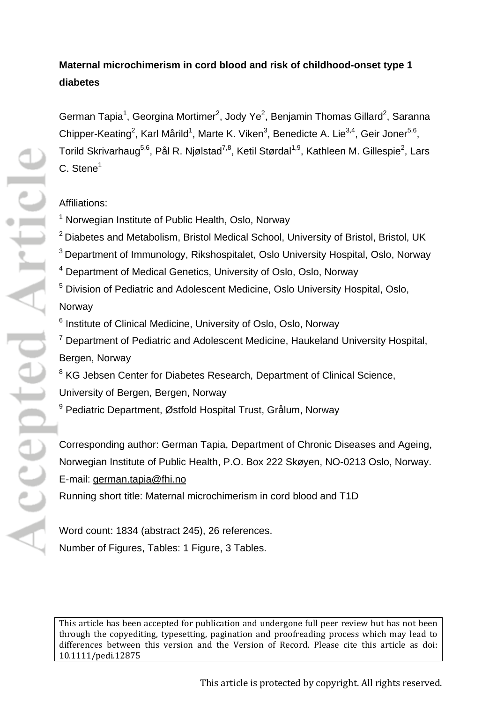# **Maternal microchimerism in cord blood and risk of childhood-onset type 1 diabetes**

German Tapia<sup>1</sup>, Georgina Mortimer<sup>2</sup>, Jody Ye<sup>2</sup>, Benjamin Thomas Gillard<sup>2</sup>, Saranna Chipper-Keating<sup>2</sup>, Karl Mårild<sup>1</sup>, Marte K. Viken<sup>3</sup>, Benedicte A. Lie<sup>3,4</sup>, Geir Joner<sup>5,6</sup>, Torild Skrivarhaug<sup>5,6</sup>, Pål R. Njølstad<sup>7,8</sup>, Ketil Størdal<sup>1,9</sup>, Kathleen M. Gillespie<sup>2</sup>, Lars  $C.$  Stene<sup>1</sup>

## Affiliations:

- <sup>1</sup> Norwegian Institute of Public Health, Oslo, Norway
- <sup>2</sup> Diabetes and Metabolism, Bristol Medical School, University of Bristol, Bristol, UK <sup>3</sup> Department of Immunology, Rikshospitalet, Oslo University Hospital, Oslo, Norway <sup>4</sup> Department of Medical Genetics, University of Oslo, Oslo, Norway <sup>5</sup> Division of Pediatric and Adolescent Medicine, Oslo University Hospital, Oslo, Norway
- <sup>6</sup> Institute of Clinical Medicine, University of Oslo, Oslo, Norway
- $7$  Department of Pediatric and Adolescent Medicine, Haukeland University Hospital, Bergen, Norway
- <sup>8</sup> KG Jebsen Center for Diabetes Research, Department of Clinical Science, University of Bergen, Bergen, Norway
- <sup>9</sup> Pediatric Department, Østfold Hospital Trust, Grålum, Norway

Corresponding author: German Tapia, Department of Chronic Diseases and Ageing, Norwegian Institute of Public Health, P.O. Box 222 Skøyen, NO-0213 Oslo, Norway. E-mail: [german.tapia@fhi.no](mailto:german.tapia@fhi.no)

Running short title: Maternal microchimerism in cord blood and T1D

Word count: 1834 (abstract 245), 26 references. Number of Figures, Tables: 1 Figure, 3 Tables.

[This article has been accepted for publication and undergone full peer review but has not been](http://dx.doi.org/10.1111/pedi.12875)  [through the copyediting, typesetting, pagination and proofreading process which may lead to](http://dx.doi.org/10.1111/pedi.12875)  [differences between this version and the Version of Record. Please cite this article as doi:](http://dx.doi.org/10.1111/pedi.12875)  [10.1111/pedi.12875](http://dx.doi.org/10.1111/pedi.12875)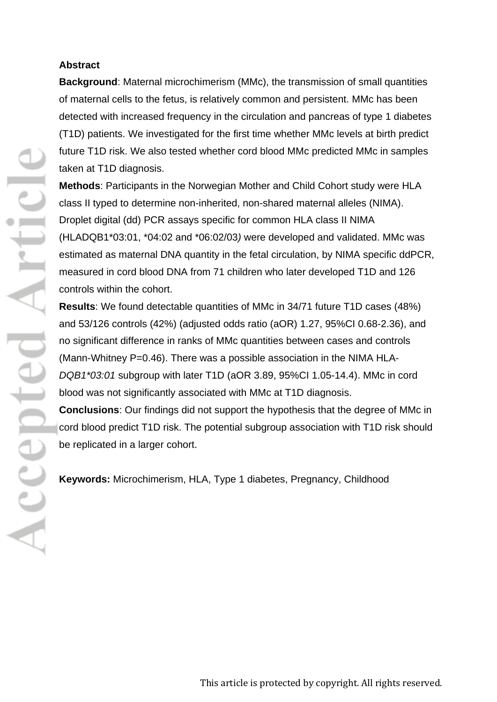### **Abstract**

**Background**: Maternal microchimerism (MMc), the transmission of small quantities of maternal cells to the fetus, is relatively common and persistent. MMc has been detected with increased frequency in the circulation and pancreas of type 1 diabetes (T1D) patients. We investigated for the first time whether MMc levels at birth predict future T1D risk. We also tested whether cord blood MMc predicted MMc in samples taken at T1D diagnosis.

**Methods**: Participants in the Norwegian Mother and Child Cohort study were HLA class II typed to determine non-inherited, non-shared maternal alleles (NIMA). Droplet digital (dd) PCR assays specific for common HLA class II NIMA (HLADQB1\*03:01, \*04:02 and \*06:02/03*)* were developed and validated. MMc was estimated as maternal DNA quantity in the fetal circulation, by NIMA specific ddPCR, measured in cord blood DNA from 71 children who later developed T1D and 126 controls within the cohort.

**Results**: We found detectable quantities of MMc in 34/71 future T1D cases (48%) and 53/126 controls (42%) (adjusted odds ratio (aOR) 1.27, 95%CI 0.68-2.36), and no significant difference in ranks of MMc quantities between cases and controls (Mann-Whitney P=0.46). There was a possible association in the NIMA HLA-*DQB1\*03:01* subgroup with later T1D (aOR 3.89, 95%CI 1.05-14.4). MMc in cord blood was not significantly associated with MMc at T1D diagnosis. **Conclusions**: Our findings did not support the hypothesis that the degree of MMc in

cord blood predict T1D risk. The potential subgroup association with T1D risk should be replicated in a larger cohort.

**Keywords:** Microchimerism, HLA, Type 1 diabetes, Pregnancy, Childhood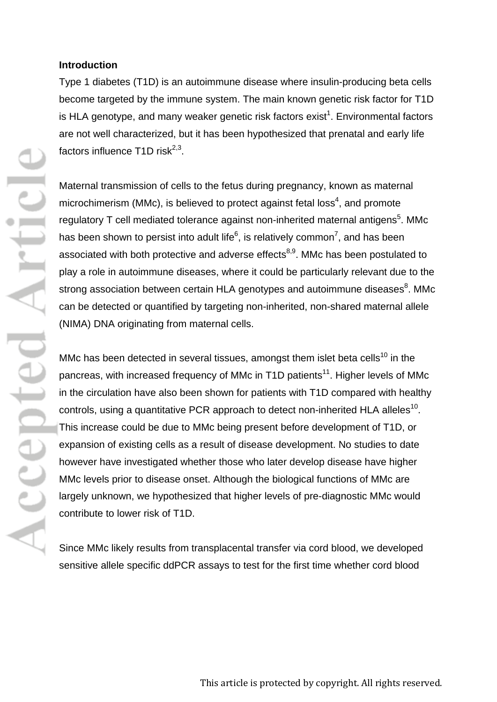#### **Introduction**

Type 1 diabetes (T1D) is an autoimmune disease where insulin-producing beta cells become targeted by the immune system. The main known genetic risk factor for T1D is HLA genotype, and many weaker genetic risk factors exist<sup>1</sup>. Environmental factors are not well characterized, but it has been hypothesized that prenatal and early life factors influence  $T1D$  risk<sup>2,3</sup>.

Maternal transmission of cells to the fetus during pregnancy, known as maternal microchimerism (MMc), is believed to protect against fetal loss<sup>4</sup>, and promote regulatory T cell mediated tolerance against non-inherited maternal antigens<sup>5</sup>. MMc has been shown to persist into adult life<sup>6</sup>, is relatively common<sup>7</sup>, and has been associated with both protective and adverse effects<sup>8,9</sup>. MMc has been postulated to play a role in autoimmune diseases, where it could be particularly relevant due to the strong association between certain HLA genotypes and autoimmune diseases<sup>8</sup>. MMc can be detected or quantified by targeting non-inherited, non-shared maternal allele (NIMA) DNA originating from maternal cells.

MMc has been detected in several tissues, amongst them islet beta cells<sup>10</sup> in the pancreas, with increased frequency of MMc in T1D patients<sup>11</sup>. Higher levels of MMc in the circulation have also been shown for patients with T1D compared with healthy controls, using a quantitative PCR approach to detect non-inherited HLA alleles<sup>10</sup>. This increase could be due to MMc being present before development of T1D, or expansion of existing cells as a result of disease development. No studies to date however have investigated whether those who later develop disease have higher MMc levels prior to disease onset. Although the biological functions of MMc are largely unknown, we hypothesized that higher levels of pre-diagnostic MMc would contribute to lower risk of T1D.

Since MMc likely results from transplacental transfer via cord blood, we developed sensitive allele specific ddPCR assays to test for the first time whether cord blood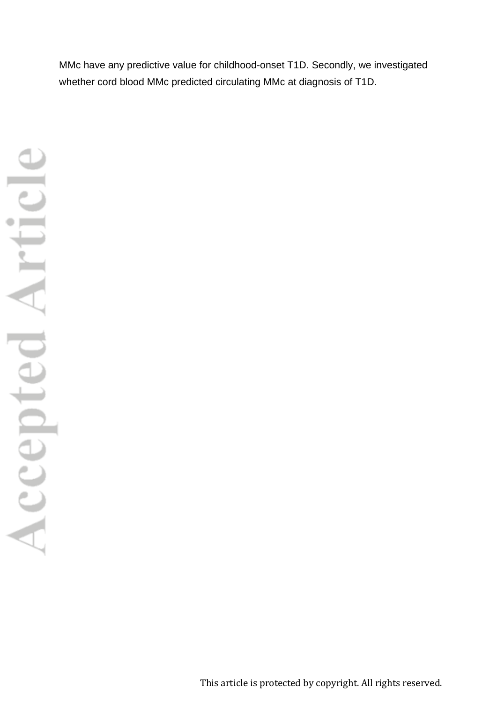MMc have any predictive value for childhood-onset T1D. Secondly, we investigated whether cord blood MMc predicted circulating MMc at diagnosis of T1D.

This article is protected by copyright. All rights reserved.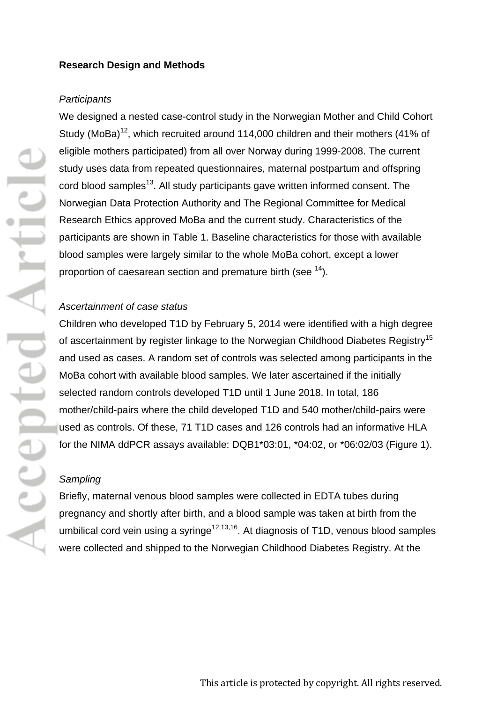#### **Research Design and Methods**

#### *Participants*

We designed a nested case-control study in the Norwegian Mother and Child Cohort Study (MoBa)<sup>12</sup>, which recruited around 114,000 children and their mothers (41% of eligible mothers participated) from all over Norway during 1999-2008. The current study uses data from repeated questionnaires, maternal postpartum and offspring cord blood samples<sup>13</sup>. All study participants gave written informed consent. The Norwegian Data Protection Authority and The Regional Committee for Medical Research Ethics approved MoBa and the current study. Characteristics of the participants are shown in Table 1. Baseline characteristics for those with available blood samples were largely similar to the whole MoBa cohort, except a lower proportion of caesarean section and premature birth (see <sup>14</sup>).

#### *Ascertainment of case status*

Children who developed T1D by February 5, 2014 were identified with a high degree of ascertainment by register linkage to the Norwegian Childhood Diabetes Registry<sup>15</sup> and used as cases. A random set of controls was selected among participants in the MoBa cohort with available blood samples. We later ascertained if the initially selected random controls developed T1D until 1 June 2018. In total, 186 mother/child-pairs where the child developed T1D and 540 mother/child-pairs were used as controls. Of these, 71 T1D cases and 126 controls had an informative HLA for the NIMA ddPCR assays available: DQB1\*03:01, \*04:02, or \*06:02/03 (Figure 1).

### *Sampling*

Briefly, maternal venous blood samples were collected in EDTA tubes during pregnancy and shortly after birth, and a blood sample was taken at birth from the umbilical cord vein using a syringe<sup>12,13,16</sup>. At diagnosis of T1D, venous blood samples were collected and shipped to the Norwegian Childhood Diabetes Registry. At the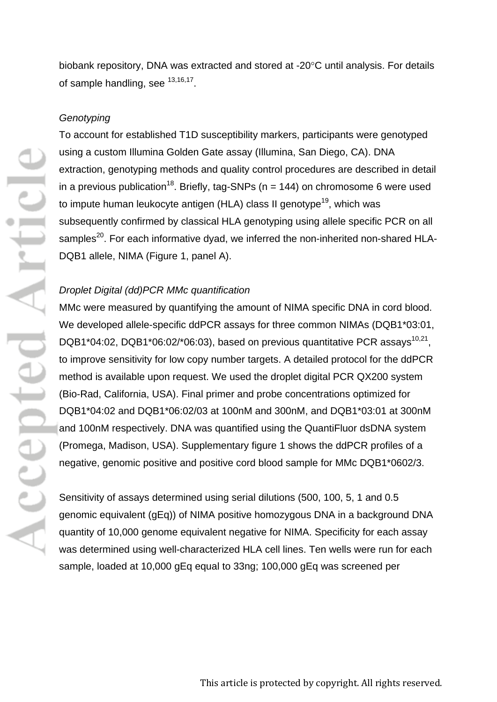biobank repository, DNA was extracted and stored at -20°C until analysis. For details of sample handling, see  $13,16,17$ .

#### *Genotyping*

To account for established T1D susceptibility markers, participants were genotyped using a custom Illumina Golden Gate assay (Illumina, San Diego, CA). DNA extraction, genotyping methods and quality control procedures are described in detail in a previous publication<sup>18</sup>. Briefly, tag-SNPs ( $n = 144$ ) on chromosome 6 were used to impute human leukocyte antigen (HLA) class II genotype<sup>19</sup>, which was subsequently confirmed by classical HLA genotyping using allele specific PCR on all samples<sup>20</sup>. For each informative dyad, we inferred the non-inherited non-shared HLA-DQB1 allele, NIMA (Figure 1, panel A).

#### *Droplet Digital (dd)PCR MMc quantification*

MMc were measured by quantifying the amount of NIMA specific DNA in cord blood. We developed allele-specific ddPCR assays for three common NIMAs (DQB1\*03:01, DQB1\*04:02, DQB1\*06:02/\*06:03), based on previous quantitative PCR assays<sup>10,21</sup>. to improve sensitivity for low copy number targets. A detailed protocol for the ddPCR method is available upon request. We used the droplet digital PCR QX200 system (Bio-Rad, California, USA). Final primer and probe concentrations optimized for DQB1\*04:02 and DQB1\*06:02/03 at 100nM and 300nM, and DQB1\*03:01 at 300nM and 100nM respectively. DNA was quantified using the QuantiFluor dsDNA system (Promega, Madison, USA). Supplementary figure 1 shows the ddPCR profiles of a negative, genomic positive and positive cord blood sample for MMc DQB1\*0602/3.

Sensitivity of assays determined using serial dilutions (500, 100, 5, 1 and 0.5 genomic equivalent (gEq)) of NIMA positive homozygous DNA in a background DNA quantity of 10,000 genome equivalent negative for NIMA. Specificity for each assay was determined using well-characterized HLA cell lines. Ten wells were run for each sample, loaded at 10,000 gEq equal to 33ng; 100,000 gEq was screened per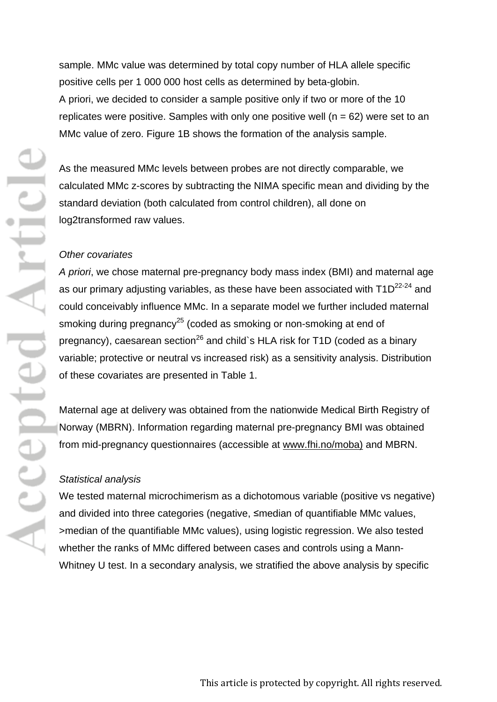sample. MMc value was determined by total copy number of HLA allele specific positive cells per 1 000 000 host cells as determined by beta-globin. A priori, we decided to consider a sample positive only if two or more of the 10 replicates were positive. Samples with only one positive well ( $n = 62$ ) were set to an MMc value of zero. Figure 1B shows the formation of the analysis sample.

As the measured MMc levels between probes are not directly comparable, we calculated MMc z-scores by subtracting the NIMA specific mean and dividing by the standard deviation (both calculated from control children), all done on log2transformed raw values.

#### *Other covariates*

*A priori*, we chose maternal pre-pregnancy body mass index (BMI) and maternal age as our primary adjusting variables, as these have been associated with  $T1D^{22-24}$  and could conceivably influence MMc. In a separate model we further included maternal smoking during pregnancy<sup>25</sup> (coded as smoking or non-smoking at end of pregnancy), caesarean section<sup>26</sup> and child`s HLA risk for T1D (coded as a binary variable; protective or neutral vs increased risk) as a sensitivity analysis. Distribution of these covariates are presented in Table 1.

Maternal age at delivery was obtained from the nationwide Medical Birth Registry of Norway (MBRN). Information regarding maternal pre-pregnancy BMI was obtained from mid-pregnancy questionnaires (accessible at [www.fhi.no/moba\)](http://www.fhi.no/moba) and MBRN.

#### *Statistical analysis*

We tested maternal microchimerism as a dichotomous variable (positive vs negative) and divided into three categories (negative, ≤median of quantifiable MMc values, >median of the quantifiable MMc values), using logistic regression. We also tested whether the ranks of MMc differed between cases and controls using a Mann-Whitney U test. In a secondary analysis, we stratified the above analysis by specific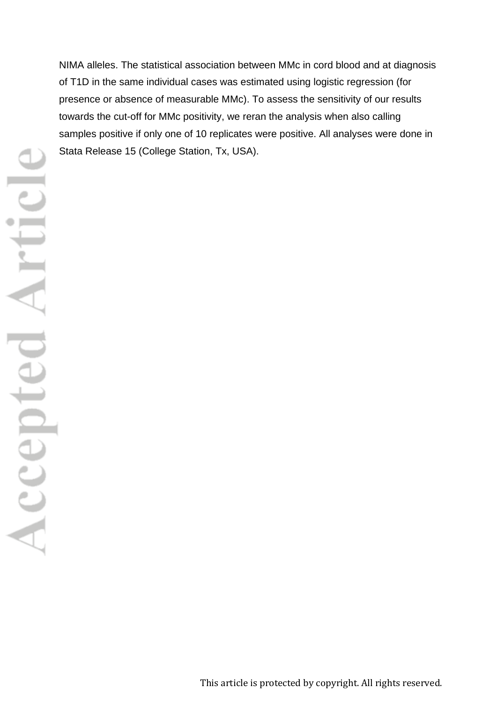NIMA alleles. The statistical association between MMc in cord blood and at diagnosis of T1D in the same individual cases was estimated using logistic regression (for presence or absence of measurable MMc). To assess the sensitivity of our results towards the cut-off for MMc positivity, we reran the analysis when also calling samples positive if only one of 10 replicates were positive. All analyses were done in Stata Release 15 (College Station, Tx, USA).

This article is protected by copyright. All rights reserved.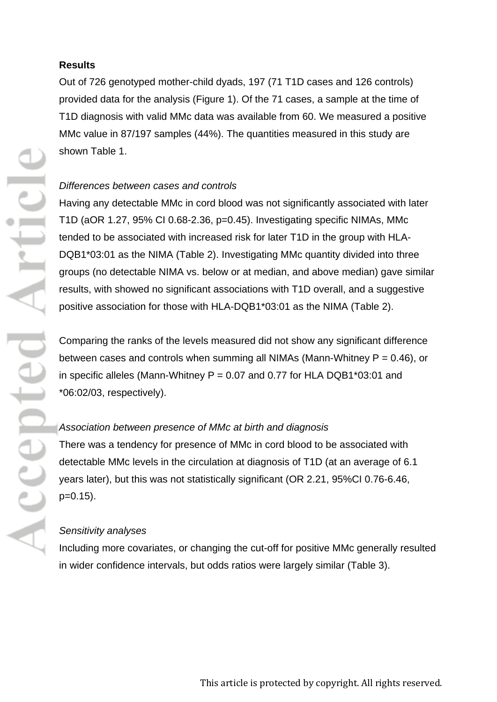#### **Results**

Out of 726 genotyped mother-child dyads, 197 (71 T1D cases and 126 controls) provided data for the analysis (Figure 1). Of the 71 cases, a sample at the time of T1D diagnosis with valid MMc data was available from 60. We measured a positive MMc value in 87/197 samples (44%). The quantities measured in this study are shown Table 1.

#### *Differences between cases and controls*

Having any detectable MMc in cord blood was not significantly associated with later T1D (aOR 1.27, 95% CI 0.68-2.36, p=0.45). Investigating specific NIMAs, MMc tended to be associated with increased risk for later T1D in the group with HLA-DQB1\*03:01 as the NIMA (Table 2). Investigating MMc quantity divided into three groups (no detectable NIMA vs. below or at median, and above median) gave similar results, with showed no significant associations with T1D overall, and a suggestive positive association for those with HLA-DQB1\*03:01 as the NIMA (Table 2).

Comparing the ranks of the levels measured did not show any significant difference between cases and controls when summing all NIMAs (Mann-Whitney  $P = 0.46$ ), or in specific alleles (Mann-Whitney  $P = 0.07$  and 0.77 for HLA DQB1\*03:01 and \*06:02/03, respectively).

## *Association between presence of MMc at birth and diagnosis*

There was a tendency for presence of MMc in cord blood to be associated with detectable MMc levels in the circulation at diagnosis of T1D (at an average of 6.1 years later), but this was not statistically significant (OR 2.21, 95%CI 0.76-6.46,  $p=0.15$ ).

## *Sensitivity analyses*

Including more covariates, or changing the cut-off for positive MMc generally resulted in wider confidence intervals, but odds ratios were largely similar (Table 3).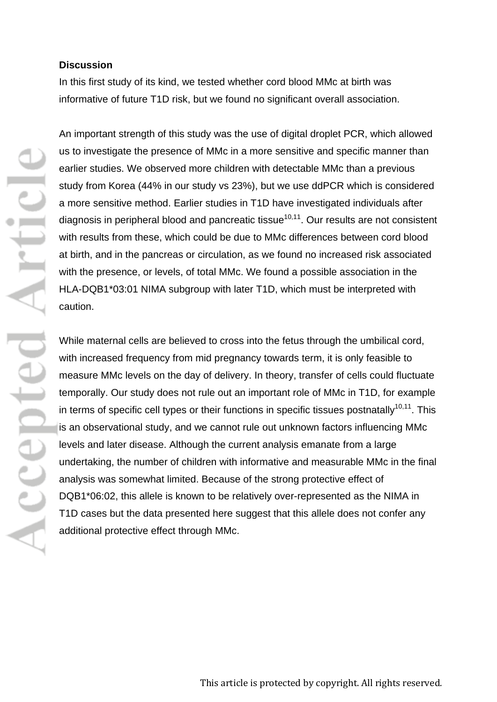#### **Discussion**

In this first study of its kind, we tested whether cord blood MMc at birth was informative of future T1D risk, but we found no significant overall association.

An important strength of this study was the use of digital droplet PCR, which allowed us to investigate the presence of MMc in a more sensitive and specific manner than earlier studies. We observed more children with detectable MMc than a previous study from Korea (44% in our study vs 23%), but we use ddPCR which is considered a more sensitive method. Earlier studies in T1D have investigated individuals after diagnosis in peripheral blood and pancreatic tissue<sup>10,11</sup>. Our results are not consistent with results from these, which could be due to MMc differences between cord blood at birth, and in the pancreas or circulation, as we found no increased risk associated with the presence, or levels, of total MMc. We found a possible association in the HLA-DQB1\*03:01 NIMA subgroup with later T1D, which must be interpreted with caution.

While maternal cells are believed to cross into the fetus through the umbilical cord, with increased frequency from mid pregnancy towards term, it is only feasible to measure MMc levels on the day of delivery. In theory, transfer of cells could fluctuate temporally. Our study does not rule out an important role of MMc in T1D, for example in terms of specific cell types or their functions in specific tissues postnatally<sup>10,11</sup>. This is an observational study, and we cannot rule out unknown factors influencing MMc levels and later disease. Although the current analysis emanate from a large undertaking, the number of children with informative and measurable MMc in the final analysis was somewhat limited. Because of the strong protective effect of DQB1\*06:02, this allele is known to be relatively over-represented as the NIMA in T1D cases but the data presented here suggest that this allele does not confer any additional protective effect through MMc.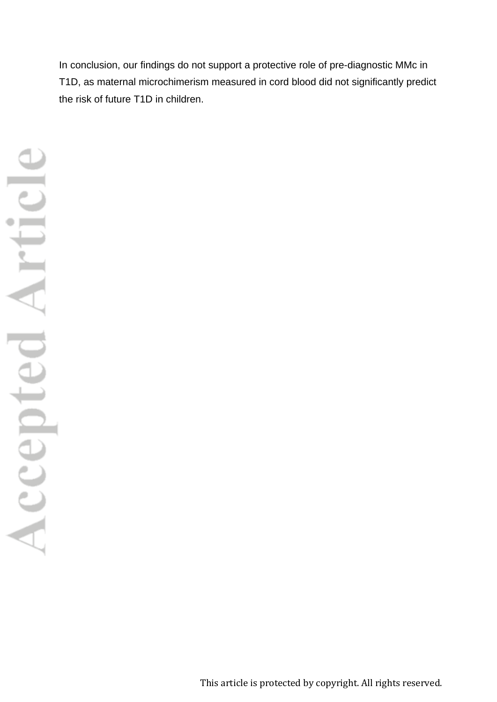In conclusion, our findings do not support a protective role of pre-diagnostic MMc in T1D, as maternal microchimerism measured in cord blood did not significantly predict the risk of future T1D in children.

This article is protected by copyright. All rights reserved.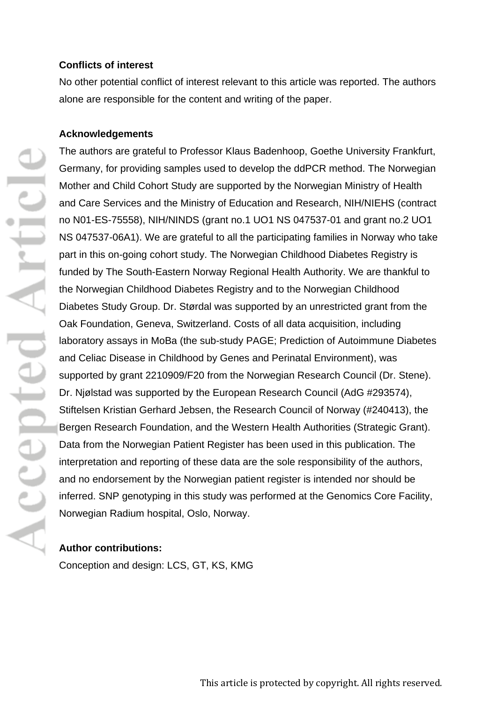#### **Conflicts of interest**

No other potential conflict of interest relevant to this article was reported. The authors alone are responsible for the content and writing of the paper.

#### **Acknowledgements**

The authors are grateful to Professor Klaus Badenhoop, Goethe University Frankfurt, Germany, for providing samples used to develop the ddPCR method. The Norwegian Mother and Child Cohort Study are supported by the Norwegian Ministry of Health and Care Services and the Ministry of Education and Research, NIH/NIEHS (contract no N01-ES-75558), NIH/NINDS (grant no.1 UO1 NS 047537-01 and grant no.2 UO1 NS 047537-06A1). We are grateful to all the participating families in Norway who take part in this on-going cohort study. The Norwegian Childhood Diabetes Registry is funded by The South-Eastern Norway Regional Health Authority. We are thankful to the Norwegian Childhood Diabetes Registry and to the Norwegian Childhood Diabetes Study Group. Dr. Størdal was supported by an unrestricted grant from the Oak Foundation, Geneva, Switzerland. Costs of all data acquisition, including laboratory assays in MoBa (the sub-study PAGE; Prediction of Autoimmune Diabetes and Celiac Disease in Childhood by Genes and Perinatal Environment), was supported by grant 2210909/F20 from the Norwegian Research Council (Dr. Stene). Dr. Njølstad was supported by the European Research Council (AdG #293574), Stiftelsen Kristian Gerhard Jebsen, the Research Council of Norway (#240413), the Bergen Research Foundation, and the Western Health Authorities (Strategic Grant). Data from the Norwegian Patient Register has been used in this publication. The interpretation and reporting of these data are the sole responsibility of the authors, and no endorsement by the Norwegian patient register is intended nor should be inferred. SNP genotyping in this study was performed at the Genomics Core Facility, Norwegian Radium hospital, Oslo, Norway.

#### **Author contributions:**

Conception and design: LCS, GT, KS, KMG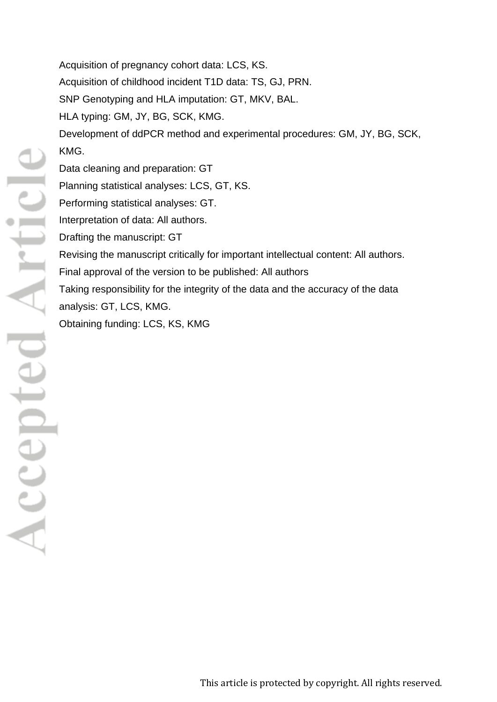Acquisition of pregnancy cohort data: LCS, KS. Acquisition of childhood incident T1D data: TS, GJ, PRN. SNP Genotyping and HLA imputation: GT, MKV, BAL. HLA typing: GM, JY, BG, SCK, KMG. Development of ddPCR method and experimental procedures: GM, JY, BG, SCK, KMG. Data cleaning and preparation: GT Planning statistical analyses: LCS, GT, KS. Performing statistical analyses: GT. Interpretation of data: All authors. Drafting the manuscript: GT Revising the manuscript critically for important intellectual content: All authors. Final approval of the version to be published: All authors Taking responsibility for the integrity of the data and the accuracy of the data analysis: GT, LCS, KMG. Obtaining funding: LCS, KS, KMG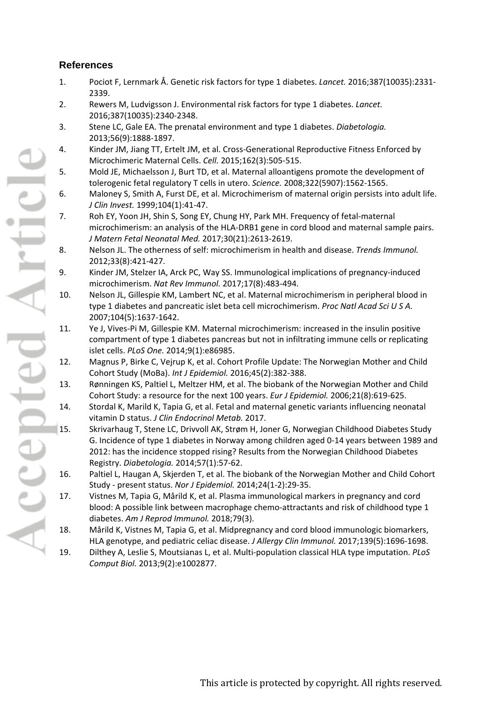## **References**

- 1. Pociot F, Lernmark Å. Genetic risk factors for type 1 diabetes. *Lancet.* 2016;387(10035):2331- 2339.
- 2. Rewers M, Ludvigsson J. Environmental risk factors for type 1 diabetes. *Lancet.*  2016;387(10035):2340-2348.
- 3. Stene LC, Gale EA. The prenatal environment and type 1 diabetes. *Diabetologia.*  2013;56(9):1888-1897.
- 4. Kinder JM, Jiang TT, Ertelt JM, et al. Cross-Generational Reproductive Fitness Enforced by Microchimeric Maternal Cells. *Cell.* 2015;162(3):505-515.
- 5. Mold JE, Michaelsson J, Burt TD, et al. Maternal alloantigens promote the development of tolerogenic fetal regulatory T cells in utero. *Science.* 2008;322(5907):1562-1565.
- 6. Maloney S, Smith A, Furst DE, et al. Microchimerism of maternal origin persists into adult life. *J Clin Invest.* 1999;104(1):41-47.
- 7. Roh EY, Yoon JH, Shin S, Song EY, Chung HY, Park MH. Frequency of fetal-maternal microchimerism: an analysis of the HLA-DRB1 gene in cord blood and maternal sample pairs. *J Matern Fetal Neonatal Med.* 2017;30(21):2613-2619.
- 8. Nelson JL. The otherness of self: microchimerism in health and disease. *Trends Immunol.*  2012;33(8):421-427.
- 9. Kinder JM, Stelzer IA, Arck PC, Way SS. Immunological implications of pregnancy-induced microchimerism. *Nat Rev Immunol.* 2017;17(8):483-494.
- 10. Nelson JL, Gillespie KM, Lambert NC, et al. Maternal microchimerism in peripheral blood in type 1 diabetes and pancreatic islet beta cell microchimerism. *Proc Natl Acad Sci U S A.*  2007;104(5):1637-1642.
- 11. Ye J, Vives-Pi M, Gillespie KM. Maternal microchimerism: increased in the insulin positive compartment of type 1 diabetes pancreas but not in infiltrating immune cells or replicating islet cells. *PLoS One.* 2014;9(1):e86985.
- 12. Magnus P, Birke C, Vejrup K, et al. Cohort Profile Update: The Norwegian Mother and Child Cohort Study (MoBa). *Int J Epidemiol.* 2016;45(2):382-388.
- 13. Rønningen KS, Paltiel L, Meltzer HM, et al. The biobank of the Norwegian Mother and Child Cohort Study: a resource for the next 100 years. *Eur J Epidemiol.* 2006;21(8):619-625.
- 14. Stordal K, Marild K, Tapia G, et al. Fetal and maternal genetic variants influencing neonatal vitamin D status. *J Clin Endocrinol Metab.* 2017.
- 15. Skrivarhaug T, Stene LC, Drivvoll AK, Strøm H, Joner G, Norwegian Childhood Diabetes Study G. Incidence of type 1 diabetes in Norway among children aged 0-14 years between 1989 and 2012: has the incidence stopped rising? Results from the Norwegian Childhood Diabetes Registry. *Diabetologia.* 2014;57(1):57-62.
- 16. Paltiel L, Haugan A, Skjerden T, et al. The biobank of the Norwegian Mother and Child Cohort Study - present status. *Nor J Epidemiol.* 2014;24(1-2):29-35.
- 17. Vistnes M, Tapia G, Mårild K, et al. Plasma immunological markers in pregnancy and cord blood: A possible link between macrophage chemo-attractants and risk of childhood type 1 diabetes. *Am J Reprod Immunol.* 2018;79(3).
- 18. Mårild K, Vistnes M, Tapia G, et al. Midpregnancy and cord blood immunologic biomarkers, HLA genotype, and pediatric celiac disease. *J Allergy Clin Immunol.* 2017;139(5):1696-1698.
- 19. Dilthey A, Leslie S, Moutsianas L, et al. Multi-population classical HLA type imputation. *PLoS Comput Biol.* 2013;9(2):e1002877.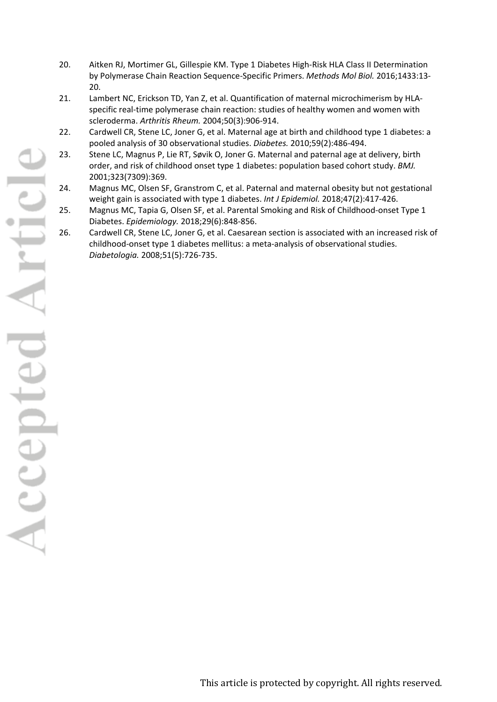- 20. Aitken RJ, Mortimer GL, Gillespie KM. Type 1 Diabetes High-Risk HLA Class II Determination by Polymerase Chain Reaction Sequence-Specific Primers. *Methods Mol Biol.* 2016;1433:13- 20.
- 21. Lambert NC, Erickson TD, Yan Z, et al. Quantification of maternal microchimerism by HLAspecific real-time polymerase chain reaction: studies of healthy women and women with scleroderma. *Arthritis Rheum.* 2004;50(3):906-914.
- 22. Cardwell CR, Stene LC, Joner G, et al. Maternal age at birth and childhood type 1 diabetes: a pooled analysis of 30 observational studies. *Diabetes.* 2010;59(2):486-494.
- 23. Stene LC, Magnus P, Lie RT, Søvik O, Joner G. Maternal and paternal age at delivery, birth order, and risk of childhood onset type 1 diabetes: population based cohort study. *BMJ.*  2001;323(7309):369.
- 24. Magnus MC, Olsen SF, Granstrom C, et al. Paternal and maternal obesity but not gestational weight gain is associated with type 1 diabetes. *Int J Epidemiol.* 2018;47(2):417-426.
- 25. Magnus MC, Tapia G, Olsen SF, et al. Parental Smoking and Risk of Childhood-onset Type 1 Diabetes. *Epidemiology.* 2018;29(6):848-856.
- 26. Cardwell CR, Stene LC, Joner G, et al. Caesarean section is associated with an increased risk of childhood-onset type 1 diabetes mellitus: a meta-analysis of observational studies. *Diabetologia.* 2008;51(5):726-735.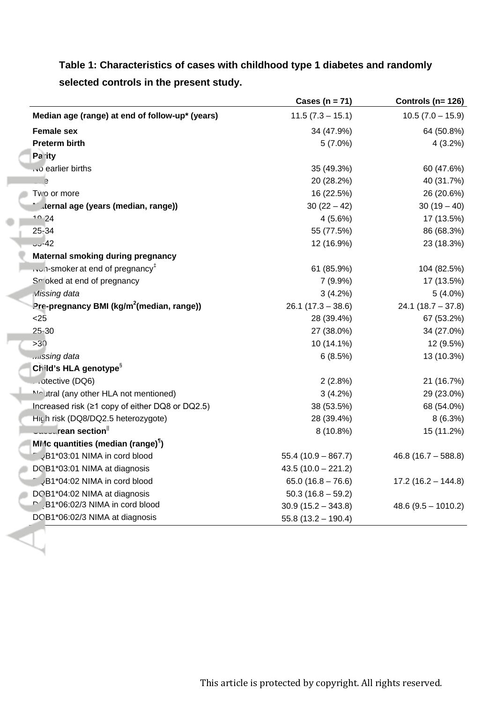|                                                       | Cases ( $n = 71$ )   | Controls ( $n = 126$ ) |
|-------------------------------------------------------|----------------------|------------------------|
| Median age (range) at end of follow-up* (years)       | $11.5(7.3 - 15.1)$   | $10.5(7.0 - 15.9)$     |
| <b>Female sex</b>                                     | 34 (47.9%)           | 64 (50.8%)             |
| <b>Preterm birth</b>                                  | $5(7.0\%)$           | 4(3.2%)                |
| Pa ity                                                |                      |                        |
| earlier births                                        | 35 (49.3%)           | 60 (47.6%)             |
| e                                                     | 20 (28.2%)           | 40 (31.7%)             |
| Two or more                                           | 16 (22.5%)           | 26 (20.6%)             |
| " ternal age (years (median, range))                  | $30(22-42)$          | $30(19-40)$            |
| $10-24$                                               | 4(5.6%)              | 17 (13.5%)             |
| 25-34                                                 | 55 (77.5%)           | 86 (68.3%)             |
| 3.42                                                  | 12 (16.9%)           | 23 (18.3%)             |
| <b>Maternal smoking during pregnancy</b>              |                      |                        |
| $\sim$ 1-smoker at end of pregnancy <sup>‡</sup>      | 61 (85.9%)           | 104 (82.5%)            |
| Sr oked at end of pregnancy                           | $7(9.9\%)$           | 17 (13.5%)             |
| Missing data                                          | $3(4.2\%)$           | $5(4.0\%)$             |
| Pre-pregnancy BMI (kg/m <sup>2</sup> (median, range)) | $26.1(17.3 - 38.6)$  | $24.1(18.7 - 37.8)$    |
| < 25                                                  | 28 (39.4%)           | 67 (53.2%)             |
| $25 - 30$                                             | 27 (38.0%)           | 34 (27.0%)             |
| >30                                                   | 10 (14.1%)           | 12 (9.5%)              |
| .vissing data                                         | 6(8.5%)              | 13 (10.3%)             |
| Child's HLA genotype <sup>§</sup>                     |                      |                        |
| otective (DQ6)                                        | 2(2.8%)              | 21 (16.7%)             |
| Moutral (any other HLA not mentioned)                 | 3(4.2%)              | 29 (23.0%)             |
| Increased risk (≥1 copy of either DQ8 or DQ2.5)       | 38 (53.5%)           | 68 (54.0%)             |
| High risk (DQ8/DQ2.5 heterozygote)                    | 28 (39.4%)           | 8(6.3%)                |
| <b>Uuuuurean section</b>                              | 8 (10.8%)            | 15 (11.2%)             |
| MMc quantities (median (range) <sup>1</sup> )         |                      |                        |
| JB1*03:01 NIMA in cord blood                          | $55.4(10.9 - 867.7)$ | $46.8(16.7 - 588.8)$   |
| DOB1*03:01 NIMA at diagnosis                          | $43.5(10.0 - 221.2)$ |                        |
| <b>JB1*04:02 NIMA in cord blood</b>                   | $65.0(16.8 - 76.6)$  | $17.2(16.2 - 144.8)$   |
| DOB1*04:02 NIMA at diagnosis                          | $50.3(16.8 - 59.2)$  |                        |
| B1*06:02/3 NIMA in cord blood                         | $30.9(15.2 - 343.8)$ | $48.6(9.5 - 1010.2)$   |
| DOB1*06:02/3 NIMA at diagnosis                        | $55.8(13.2 - 190.4)$ |                        |

**Table 1: Characteristics of cases with childhood type 1 diabetes and randomly selected controls in the present study.**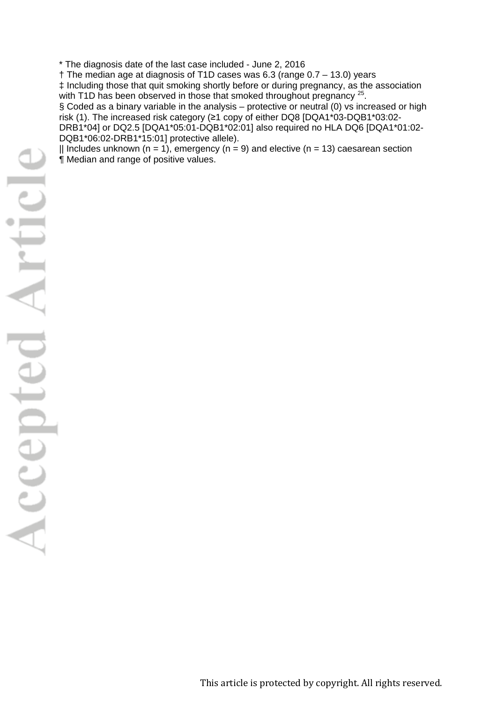\* The diagnosis date of the last case included - June 2, 2016

† The median age at diagnosis of T1D cases was 6.3 (range 0.7 – 13.0) years ‡ Including those that quit smoking shortly before or during pregnancy, as the association with T1D has been observed in those that smoked throughout pregnancy <sup>25</sup>.

§ Coded as a binary variable in the analysis – protective or neutral (0) vs increased or high risk (1). The increased risk category (≥1 copy of either DQ8 [DQA1\*03-DQB1\*03:02- DRB1\*04] or DQ2.5 [DQA1\*05:01-DQB1\*02:01] also required no HLA DQ6 [DQA1\*01:02- DQB1\*06:02-DRB1\*15:01] protective allele).

|| Includes unknown (n = 1), emergency (n = 9) and elective (n = 13) caesarean section ¶ Median and range of positive values.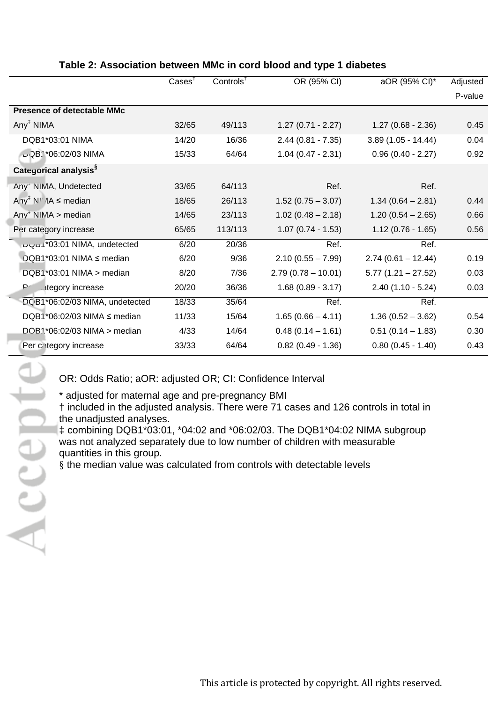|                                                                       | $\text{Case}$ | $Controls^{\dagger}$ | OR (95% CI)          | aOR (95% CI)*        | Adjusted |
|-----------------------------------------------------------------------|---------------|----------------------|----------------------|----------------------|----------|
|                                                                       |               |                      |                      |                      | P-value  |
| <b>Presence of detectable MMc</b>                                     |               |                      |                      |                      |          |
| Any <sup>†</sup> NIMA                                                 | 32/65         | 49/113               | $1.27(0.71 - 2.27)$  | $1.27(0.68 - 2.36)$  | 0.45     |
| DQB1*03:01 NIMA                                                       | 14/20         | 16/36                | $2.44(0.81 - 7.35)$  | $3.89(1.05 - 14.44)$ | 0.04     |
| LQB1*06:02/03 NIMA                                                    | 15/33         | 64/64                | $1.04(0.47 - 2.31)$  | $0.96(0.40 - 2.27)$  | 0.92     |
| Categorical analysis <sup>§</sup>                                     |               |                      |                      |                      |          |
| Any <sup>+</sup> NIMA, Undetected                                     | 33/65         | 64/113               | Ref.                 | Ref.                 |          |
| Any <sup>‡</sup> N <sup><math>\parallel</math></sup> 1A $\leq$ median | 18/65         | 26/113               | $1.52(0.75 - 3.07)$  | $1.34(0.64 - 2.81)$  | 0.44     |
| $Any+ NIMA > median$                                                  | 14/65         | 23/113               | $1.02(0.48 - 2.18)$  | $1.20(0.54 - 2.65)$  | 0.66     |
| Per category increase                                                 | 65/65         | 113/113              | $1.07(0.74 - 1.53)$  | $1.12(0.76 - 1.65)$  | 0.56     |
| <sup>*</sup> 03:01 NIMA, undetected                                   | 6/20          | 20/36                | Ref.                 | Ref.                 |          |
| DQB1*03:01 NIMA ≤ median                                              | 6/20          | 9/36                 | $2.10(0.55 - 7.99)$  | $2.74(0.61 - 12.44)$ | 0.19     |
| DQB1*03:01 NIMA > median                                              | 8/20          | 7/36                 | $2.79(0.78 - 10.01)$ | $5.77(1.21 - 27.52)$ | 0.03     |
| P∈<br><b>ategory</b> increase                                         | 20/20         | 36/36                | $1.68(0.89 - 3.17)$  | $2.40(1.10 - 5.24)$  | 0.03     |
| DCB1*06:02/03 NIMA, undetected                                        | 18/33         | 35/64                | Ref.                 | Ref.                 |          |
| DQB1*06:02/03 NIMA $\leq$ median                                      | 11/33         | 15/64                | $1.65(0.66 - 4.11)$  | $1.36(0.52 - 3.62)$  | 0.54     |
| DQB1*06:02/03 NIMA > median                                           | 4/33          | 14/64                | $0.48(0.14 - 1.61)$  | $0.51(0.14 - 1.83)$  | 0.30     |
| Per category increase                                                 | 33/33         | 64/64                | $0.82$ (0.49 - 1.36) | $0.80(0.45 - 1.40)$  | 0.43     |

# **Table 2: Association between MMc in cord blood and type 1 diabetes**

OR: Odds Ratio; aOR: adjusted OR; CI: Confidence Interval

\* adjusted for maternal age and pre-pregnancy BMI

† included in the adjusted analysis. There were 71 cases and 126 controls in total in the unadjusted analyses.

‡ combining DQB1\*03:01, \*04:02 and \*06:02/03. The DQB1\*04:02 NIMA subgroup was not analyzed separately due to low number of children with measurable quantities in this group.

§ the median value was calculated from controls with detectable levels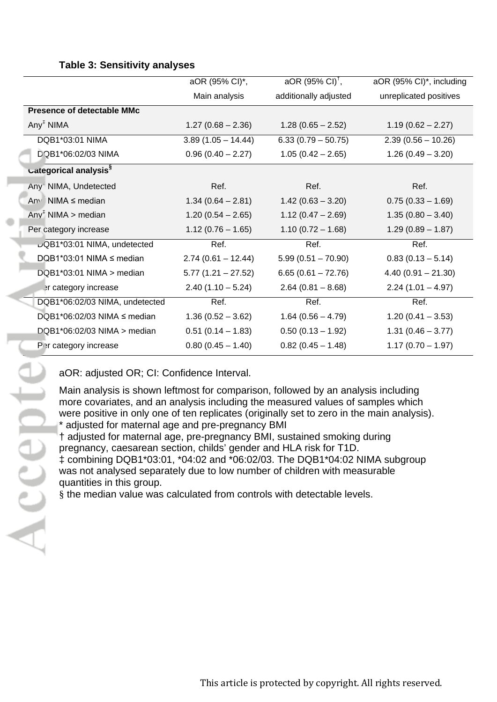## **Table 3: Sensitivity analyses**

|                                   | aOR (95% CI)*,       | $aOR (95\% Cl)^{\dagger}$ , | aOR (95% CI)*, including |
|-----------------------------------|----------------------|-----------------------------|--------------------------|
|                                   | Main analysis        | additionally adjusted       | unreplicated positives   |
| <b>Presence of detectable MMc</b> |                      |                             |                          |
| Any <sup>†</sup> NIMA             | $1.27(0.68 - 2.36)$  | $1.28(0.65 - 2.52)$         | $1.19(0.62 - 2.27)$      |
| DQB1*03:01 NIMA                   | $3.89(1.05 - 14.44)$ | $6.33(0.79 - 50.75)$        | $2.39(0.56 - 10.26)$     |
| DQB1*06:02/03 NIMA                | $0.96(0.40 - 2.27)$  | $1.05(0.42 - 2.65)$         | $1.26(0.49 - 3.20)$      |
| Lategorical analysis <sup>§</sup> |                      |                             |                          |
| Any <sup>+</sup> NIMA, Undetected | Ref.                 | Ref.                        | Ref.                     |
| Any NIMA $\leq$ median            | $1.34(0.64 - 2.81)$  | $1.42(0.63 - 3.20)$         | $0.75(0.33 - 1.69)$      |
| Any <sup>T</sup> NIMA > median    | $1.20(0.54 - 2.65)$  | $1.12(0.47 - 2.69)$         | $1.35(0.80 - 3.40)$      |
| Per category increase             | $1.12(0.76 - 1.65)$  | $1.10(0.72 - 1.68)$         | $1.29(0.89 - 1.87)$      |
| DQB1*03:01 NIMA, undetected       | Ref.                 | Ref.                        | Ref.                     |
| DQB1*03:01 NIMA $\leq$ median     | $2.74(0.61 - 12.44)$ | $5.99(0.51 - 70.90)$        | $0.83(0.13 - 5.14)$      |
| $DQB1*03:01$ NIMA > median        | $5.77(1.21 - 27.52)$ | $6.65(0.61 - 72.76)$        | $4.40(0.91 - 21.30)$     |
| er category increase              | $2.40(1.10 - 5.24)$  | $2.64(0.81 - 8.68)$         | $2.24(1.01 - 4.97)$      |
| DQB1*06:02/03 NIMA, undetected    | Ref.                 | Ref.                        | Ref.                     |
| DQB1*06:02/03 NIMA $\leq$ median  | $1.36(0.52 - 3.62)$  | $1.64(0.56 - 4.79)$         | $1.20(0.41 - 3.53)$      |
| $DQB1*06:02/03$ NIMA > median     | $0.51(0.14 - 1.83)$  | $0.50(0.13 - 1.92)$         | $1.31(0.46 - 3.77)$      |
| Per category increase             | $0.80(0.45 - 1.40)$  | $0.82(0.45 - 1.48)$         | $1.17(0.70 - 1.97)$      |

aOR: adjusted OR; CI: Confidence Interval.

Main analysis is shown leftmost for comparison, followed by an analysis including more covariates, and an analysis including the measured values of samples which were positive in only one of ten replicates (originally set to zero in the main analysis). \* adjusted for maternal age and pre-pregnancy BMI

† adjusted for maternal age, pre-pregnancy BMI, sustained smoking during pregnancy, caesarean section, childs' gender and HLA risk for T1D. ‡ combining DQB1\*03:01, \*04:02 and \*06:02/03. The DQB1\*04:02 NIMA subgroup was not analysed separately due to low number of children with measurable

quantities in this group.

§ the median value was calculated from controls with detectable levels.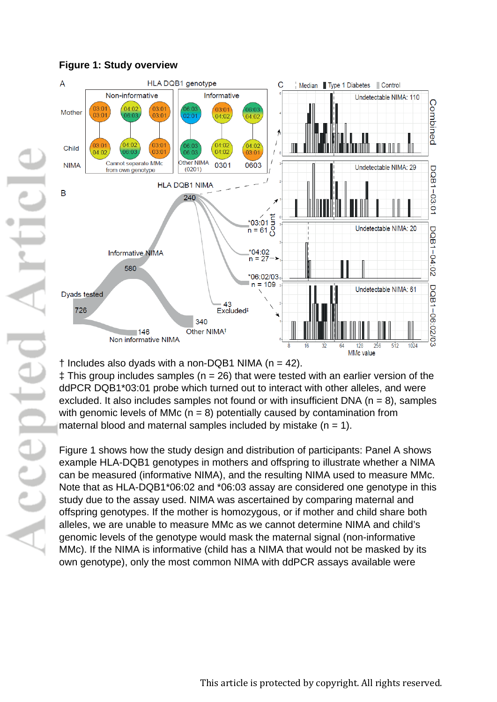

## **Figure 1: Study overview**

 $\dagger$  Includes also dyads with a non-DQB1 NIMA (n = 42).

 $\ddagger$  This group includes samples (n = 26) that were tested with an earlier version of the ddPCR DQB1\*03:01 probe which turned out to interact with other alleles, and were excluded. It also includes samples not found or with insufficient DNA ( $n = 8$ ), samples with genomic levels of MMc ( $n = 8$ ) potentially caused by contamination from maternal blood and maternal samples included by mistake  $(n = 1)$ .

Figure 1 shows how the study design and distribution of participants: Panel A shows example HLA-DQB1 genotypes in mothers and offspring to illustrate whether a NIMA can be measured (informative NIMA), and the resulting NIMA used to measure MMc. Note that as HLA-DQB1\*06:02 and \*06:03 assay are considered one genotype in this study due to the assay used. NIMA was ascertained by comparing maternal and offspring genotypes. If the mother is homozygous, or if mother and child share both alleles, we are unable to measure MMc as we cannot determine NIMA and child's genomic levels of the genotype would mask the maternal signal (non-informative MMc). If the NIMA is informative (child has a NIMA that would not be masked by its own genotype), only the most common NIMA with ddPCR assays available were